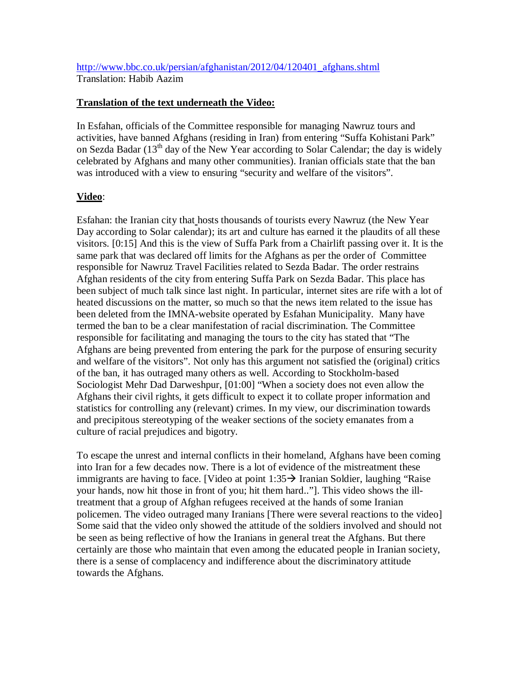## http://www.bbc.co.uk/persian/afghanistan/2012/04/120401\_afghans.shtml Translation: Habib Aazim

## **Translation of the text underneath the Video:**

In Esfahan, officials of the Committee responsible for managing Nawruz tours and activities, have banned Afghans (residing in Iran) from entering "Suffa Kohistani Park" on Sezda Badar  $(13<sup>th</sup>$  day of the New Year according to Solar Calendar; the day is widely celebrated by Afghans and many other communities). Iranian officials state that the ban was introduced with a view to ensuring "security and welfare of the visitors".

## **Video**:

Esfahan: the Iranian city that hosts thousands of tourists every Nawruz (the New Year Day according to Solar calendar); its art and culture has earned it the plaudits of all these visitors. [0:15] And this is the view of Suffa Park from a Chairlift passing over it. It is the same park that was declared off limits for the Afghans as per the order of Committee responsible for Nawruz Travel Facilities related to Sezda Badar. The order restrains Afghan residents of the city from entering Suffa Park on Sezda Badar. This place has been subject of much talk since last night. In particular, internet sites are rife with a lot of heated discussions on the matter, so much so that the news item related to the issue has been deleted from the IMNA-website operated by Esfahan Municipality. Many have termed the ban to be a clear manifestation of racial discrimination. The Committee responsible for facilitating and managing the tours to the city has stated that "The Afghans are being prevented from entering the park for the purpose of ensuring security and welfare of the visitors". Not only has this argument not satisfied the (original) critics of the ban, it has outraged many others as well. According to Stockholm-based Sociologist Mehr Dad Darweshpur, [01:00] "When a society does not even allow the Afghans their civil rights, it gets difficult to expect it to collate proper information and statistics for controlling any (relevant) crimes. In my view, our discrimination towards and precipitous stereotyping of the weaker sections of the society emanates from a culture of racial prejudices and bigotry.

To escape the unrest and internal conflicts in their homeland, Afghans have been coming into Iran for a few decades now. There is a lot of evidence of the mistreatment these immigrants are having to face. [Video at point  $1:35 \rightarrow$  Iranian Soldier, laughing "Raise" your hands, now hit those in front of you; hit them hard.."]. This video shows the illtreatment that a group of Afghan refugees received at the hands of some Iranian policemen. The video outraged many Iranians [There were several reactions to the video] Some said that the video only showed the attitude of the soldiers involved and should not be seen as being reflective of how the Iranians in general treat the Afghans. But there certainly are those who maintain that even among the educated people in Iranian society, there is a sense of complacency and indifference about the discriminatory attitude towards the Afghans.